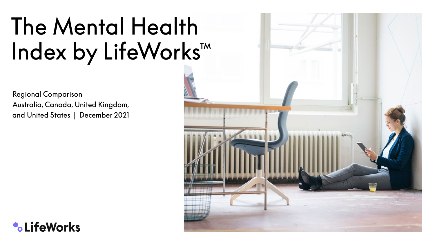# The Mental Health Index by LifeWorks™

 Regional Comparison Australia, Canada, United Kingdom, and United States | December 2021



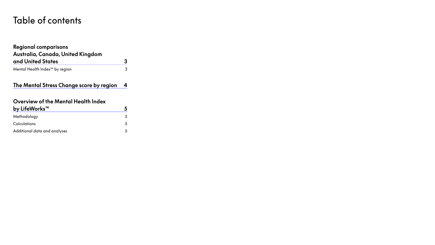## Table of contents

#### **[Regional comparisons](#page-2-0)  [Australia, Canada, United Kingdom](#page-2-0)  [and United States](#page-2-0) 3** [Mental Health Index™ by region](#page-2-0) 3

#### **[The Mental Stress Change score by region](#page-3-0) 4**

#### **[Overview of the Mental Health Index](#page-4-0)**

| by LifeWorks™                |   |
|------------------------------|---|
| Methodology                  | 5 |
| Calculations                 | 5 |
| Additional data and analyses |   |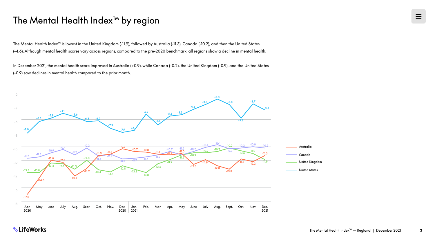### <span id="page-2-0"></span>The Mental Health Index™ by region

The Mental Health Index™ is lowest in the United Kingdom (-11.9), followed by Australia (-11.3), Canada (-10.2), and then the United States (-4.6). Although mental health scores vary across regions, compared to the pre-2020 benchmark, all regions show a decline in mental health.

In December 2021, the mental health score improved in Australia (+0.9), while Canada (-0.2), the United Kingdom (-0.9), and the United States (-0.9) saw declines in mental health compared to the prior month.



**•CLifeWorks**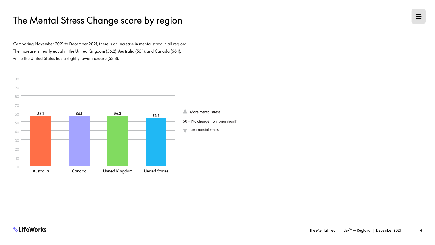## <span id="page-3-0"></span>The Mental Stress Change score by region

Comparing November 2021 to December 2021, there is an increase in mental stress in all regions. The increase is nearly equal in the United Kingdom (56.2), Australia (56.1), and Canada (56.1), while the United States has a slightly lower increase (53.8).

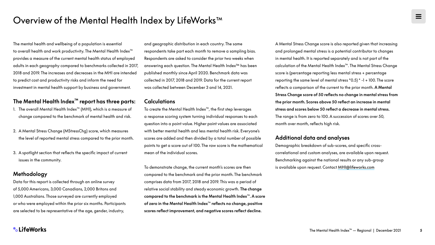<span id="page-4-0"></span>The mental health and wellbeing of a population is essential to overall health and work productivity. The Mental Health Index™ provides a measure of the current mental health status of employed adults in each geography compared to benchmarks collected in 2017, 2018 and 2019. The increases and decreases in the MHI are intended to predict cost and productivity risks and inform the need for investment in mental health support by business and government.

#### **The Mental Health Index™ report has three parts:**

- 1. The overall Mental Health Index™ (MHI), which is a measure of change compared to the benchmark of mental health and risk.
- 2. A Mental Stress Change (MStressChg) score, which measures the level of reported mental stress compared to the prior month.
- 3. A spotlight section that reflects the specific impact of current issues in the community.

#### **Methodology**

Data for this report is collected through an online survey of 5,000 Americans, 3,000 Canadians, 2,000 Britons and 1,000 Australians. Those surveyed are currently employed or who were employed within the prior six months. Participants are selected to be representative of the age, gender, industry,

and geographic distribution in each country. The same respondents take part each month to remove a sampling bias. Respondents are asked to consider the prior two weeks when answering each question. The Mental Health Index™ has been published monthly since April 2020. Benchmark data was collected in 2017, 2018 and 2019. Data for the current report was collected between December 3 and 14, 2021.

#### **Calculations**

To create the Mental Health Index™, the first step leverages a response scoring system turning individual responses to each question into a point value. Higher point values are associated with better mental health and less mental health risk. Everyone's scores are added and then divided by a total number of possible points to get a score out of 100. The raw score is the mathematical mean of the individual scores.

To demonstrate change, the current month's scores are then compared to the benchmark and the prior month. The benchmark comprises data from 2017, 2018 and 2019. This was a period of relative social stability and steady economic growth. **The change compared to the benchmark is the Mental Health Index**™**. A score of zero in the Mental Health Index**™ **reflects no change, positive scores reflect improvement, and negative scores reflect decline.**

A Mental Stress Change score is also reported given that increasing and prolonged mental stress is a potential contributor to changes in mental health. It is reported separately and is not part of the calculation of the Mental Health Index™. The Mental Stress Change score is (percentage reporting less mental stress + percentage reporting the same level of mental stress \*0.5) \* -1 + 100. The score reflects a comparison of the current to the prior month. **A Mental Stress Change score of 50 reflects no change in mental stress from the prior month. Scores above 50 reflect an increase in mental stress and scores below 50 reflect a decrease in mental stress.** The range is from zero to 100. A succession of scores over 50, month over month, reflects high risk.

#### **Additional data and analyses**

Demographic breakdown of sub-scores, and specific crosscorrelational and custom analyses, are available upon request. Benchmarking against the national results or any sub-group is available upon request. Contact [MHI@lifeworks.com](mailto:MHI%40lifeworks.com?subject=)

**•** LifeWorks